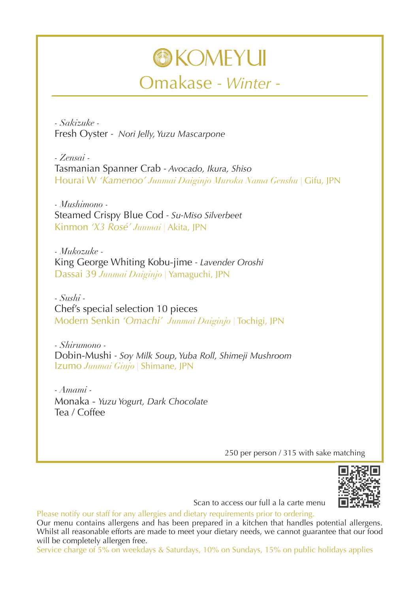## **OKOMEYUI** Omakase *- Winter -*

*- Sakizuke -* Fresh Oyster *- Nori Jelly, Yuzu Mascarpone*

*- Zensai -* Tasmanian Spanner Crab *- Avocado, Ikura, Shiso* Hourai W *'Kamenoo' Junmai Daiginjo Muroka Nama Genshu |* Gifu, JPN

*- Mushimono -* Steamed Crispy Blue Cod *- Su-Miso Silverbeet* Kinmon *'X3 Rosé' Junmai |* Akita, JPN

*- Mukozuke -* King George Whiting Kobu-jime *- Lavender Oroshi* Dassai 39 *Junmai Daiginjo |* Yamaguchi, JPN

*- Sushi -* Chef's special selection 10 pieces Modern Senkin *'Omachi' Junmai Daiginjo |* Tochigi, JPN

*- Shirumono -* Dobin-Mushi *- Soy Milk Soup, Yuba Roll, Shimeji Mushroom* Izumo *Junmai Ginjo |* Shimane, JPN

*- Amami -* Monaka - *Yuzu Yogurt, Dark Chocolate* Tea / Coffee

250 per person / 315 with sake matching



Scan to access our full a la carte menu

Please notify our staff for any allergies and dietary requirements prior to ordering. Our menu contains allergens and has been prepared in a kitchen that handles potential allergens. Whilst all reasonable efforts are made to meet your dietary needs, we cannot guarantee that our food will be completely allergen free.

Service charge of 5% on weekdays & Saturdays, 10% on Sundays, 15% on public holidays applies